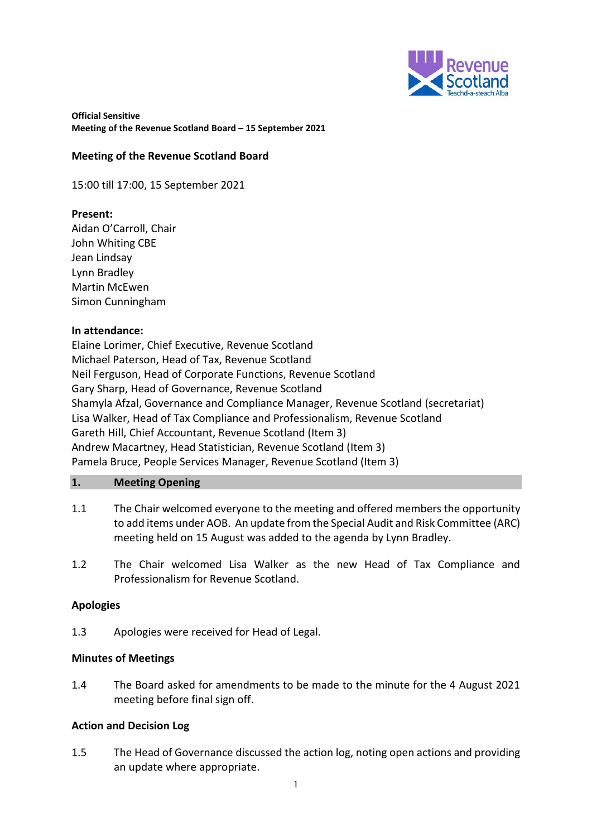

#### **Meeting of the Revenue Scotland Board**

15:00 till 17:00, 15 September 2021

## **Present:**

Aidan O'Carroll, Chair John Whiting CBE Jean Lindsay Lynn Bradley Martin McEwen Simon Cunningham

#### **In attendance:**

Elaine Lorimer, Chief Executive, Revenue Scotland Michael Paterson, Head of Tax, Revenue Scotland Neil Ferguson, Head of Corporate Functions, Revenue Scotland Gary Sharp, Head of Governance, Revenue Scotland Shamyla Afzal, Governance and Compliance Manager, Revenue Scotland (secretariat) Lisa Walker, Head of Tax Compliance and Professionalism, Revenue Scotland Gareth Hill, Chief Accountant, Revenue Scotland (Item 3) Andrew Macartney, Head Statistician, Revenue Scotland (Item 3) Pamela Bruce, People Services Manager, Revenue Scotland (Item 3)

#### **1. Meeting Opening**

- 1.1 The Chair welcomed everyone to the meeting and offered members the opportunity to add items under AOB. An update from the Special Audit and Risk Committee (ARC) meeting held on 15 August was added to the agenda by Lynn Bradley.
- 1.2 The Chair welcomed Lisa Walker as the new Head of Tax Compliance and Professionalism for Revenue Scotland.

## **Apologies**

1.3 Apologies were received for Head of Legal.

## **Minutes of Meetings**

1.4 The Board asked for amendments to be made to the minute for the 4 August 2021 meeting before final sign off.

## **Action and Decision Log**

1.5 The Head of Governance discussed the action log, noting open actions and providing an update where appropriate.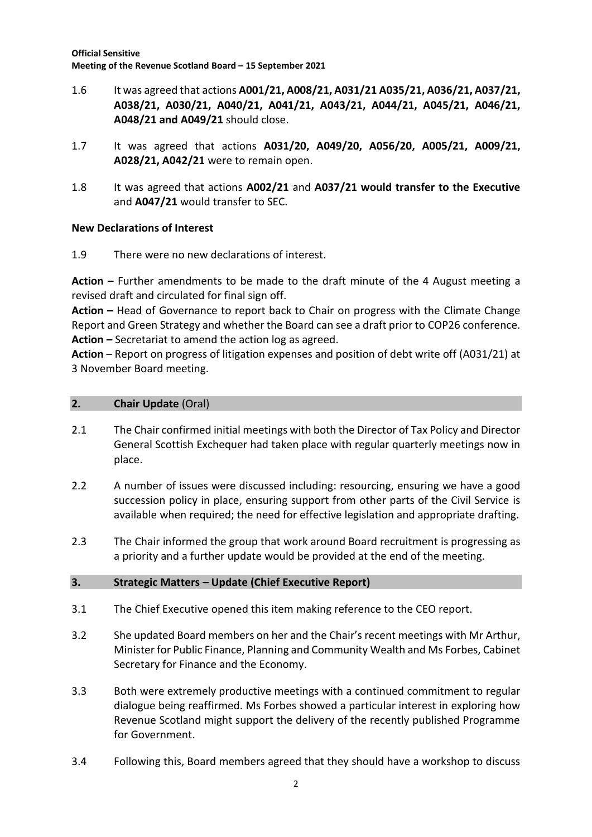- 1.6 It was agreed that actions **A001/21, A008/21, A031/21 A035/21, A036/21, A037/21, A038/21, A030/21, A040/21, A041/21, A043/21, A044/21, A045/21, A046/21, A048/21 and A049/21** should close.
- 1.7 It was agreed that actions **A031/20, A049/20, A056/20, A005/21, A009/21, A028/21, A042/21** were to remain open.
- 1.8 It was agreed that actions **A002/21** and **A037/21 would transfer to the Executive**  and **A047/21** would transfer to SEC.

# **New Declarations of Interest**

1.9 There were no new declarations of interest.

**Action –** Further amendments to be made to the draft minute of the 4 August meeting a revised draft and circulated for final sign off.

**Action –** Head of Governance to report back to Chair on progress with the Climate Change Report and Green Strategy and whether the Board can see a draft prior to COP26 conference. **Action –** Secretariat to amend the action log as agreed.

**Action** – Report on progress of litigation expenses and position of debt write off (A031/21) at 3 November Board meeting.

# **2. Chair Update** (Oral)

- 2.1 The Chair confirmed initial meetings with both the Director of Tax Policy and Director General Scottish Exchequer had taken place with regular quarterly meetings now in place.
- 2.2 A number of issues were discussed including: resourcing, ensuring we have a good succession policy in place, ensuring support from other parts of the Civil Service is available when required; the need for effective legislation and appropriate drafting.
- 2.3 The Chair informed the group that work around Board recruitment is progressing as a priority and a further update would be provided at the end of the meeting.

# **3. Strategic Matters – Update (Chief Executive Report)**

- 3.1 The Chief Executive opened this item making reference to the CEO report.
- 3.2 She updated Board members on her and the Chair's recent meetings with Mr Arthur, Minister for Public Finance, Planning and Community Wealth and Ms Forbes, Cabinet Secretary for Finance and the Economy.
- 3.3 Both were extremely productive meetings with a continued commitment to regular dialogue being reaffirmed. Ms Forbes showed a particular interest in exploring how Revenue Scotland might support the delivery of the recently published Programme for Government.
- 3.4 Following this, Board members agreed that they should have a workshop to discuss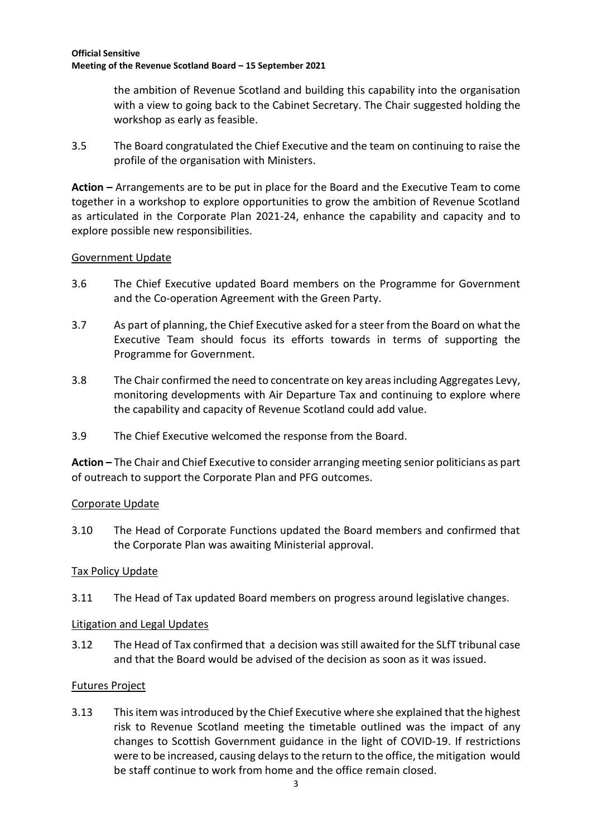the ambition of Revenue Scotland and building this capability into the organisation with a view to going back to the Cabinet Secretary. The Chair suggested holding the workshop as early as feasible.

3.5 The Board congratulated the Chief Executive and the team on continuing to raise the profile of the organisation with Ministers.

**Action –** Arrangements are to be put in place for the Board and the Executive Team to come together in a workshop to explore opportunities to grow the ambition of Revenue Scotland as articulated in the Corporate Plan 2021-24, enhance the capability and capacity and to explore possible new responsibilities.

# Government Update

- 3.6 The Chief Executive updated Board members on the Programme for Government and the Co-operation Agreement with the Green Party.
- 3.7 As part of planning, the Chief Executive asked for a steer from the Board on what the Executive Team should focus its efforts towards in terms of supporting the Programme for Government.
- 3.8 The Chair confirmed the need to concentrate on key areas including Aggregates Levy, monitoring developments with Air Departure Tax and continuing to explore where the capability and capacity of Revenue Scotland could add value.
- 3.9 The Chief Executive welcomed the response from the Board.

**Action –** The Chair and Chief Executive to consider arranging meeting senior politicians as part of outreach to support the Corporate Plan and PFG outcomes.

# Corporate Update

3.10 The Head of Corporate Functions updated the Board members and confirmed that the Corporate Plan was awaiting Ministerial approval.

## Tax Policy Update

3.11 The Head of Tax updated Board members on progress around legislative changes.

## Litigation and Legal Updates

3.12 The Head of Tax confirmed that a decision was still awaited for the SLfT tribunal case and that the Board would be advised of the decision as soon as it was issued.

# Futures Project

3.13 This item was introduced by the Chief Executive where she explained that the highest risk to Revenue Scotland meeting the timetable outlined was the impact of any changes to Scottish Government guidance in the light of COVID-19. If restrictions were to be increased, causing delays to the return to the office, the mitigation would be staff continue to work from home and the office remain closed.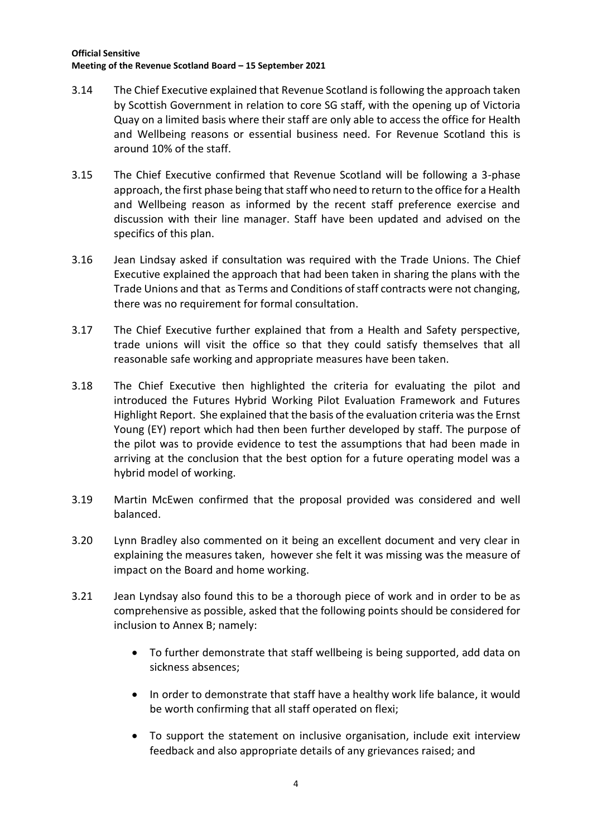- 3.14 The Chief Executive explained that Revenue Scotland isfollowing the approach taken by Scottish Government in relation to core SG staff, with the opening up of Victoria Quay on a limited basis where their staff are only able to access the office for Health and Wellbeing reasons or essential business need. For Revenue Scotland this is around 10% of the staff.
- 3.15 The Chief Executive confirmed that Revenue Scotland will be following a 3-phase approach, the first phase being that staff who need to return to the office for a Health and Wellbeing reason as informed by the recent staff preference exercise and discussion with their line manager. Staff have been updated and advised on the specifics of this plan.
- 3.16 Jean Lindsay asked if consultation was required with the Trade Unions. The Chief Executive explained the approach that had been taken in sharing the plans with the Trade Unions and that as Terms and Conditions of staff contracts were not changing, there was no requirement for formal consultation.
- 3.17 The Chief Executive further explained that from a Health and Safety perspective, trade unions will visit the office so that they could satisfy themselves that all reasonable safe working and appropriate measures have been taken.
- 3.18 The Chief Executive then highlighted the criteria for evaluating the pilot and introduced the Futures Hybrid Working Pilot Evaluation Framework and Futures Highlight Report. She explained that the basis of the evaluation criteria wasthe Ernst Young (EY) report which had then been further developed by staff. The purpose of the pilot was to provide evidence to test the assumptions that had been made in arriving at the conclusion that the best option for a future operating model was a hybrid model of working.
- 3.19 Martin McEwen confirmed that the proposal provided was considered and well balanced.
- 3.20 Lynn Bradley also commented on it being an excellent document and very clear in explaining the measures taken, however she felt it was missing was the measure of impact on the Board and home working.
- 3.21 Jean Lyndsay also found this to be a thorough piece of work and in order to be as comprehensive as possible, asked that the following points should be considered for inclusion to Annex B; namely:
	- To further demonstrate that staff wellbeing is being supported, add data on sickness absences;
	- In order to demonstrate that staff have a healthy work life balance, it would be worth confirming that all staff operated on flexi;
	- To support the statement on inclusive organisation, include exit interview feedback and also appropriate details of any grievances raised; and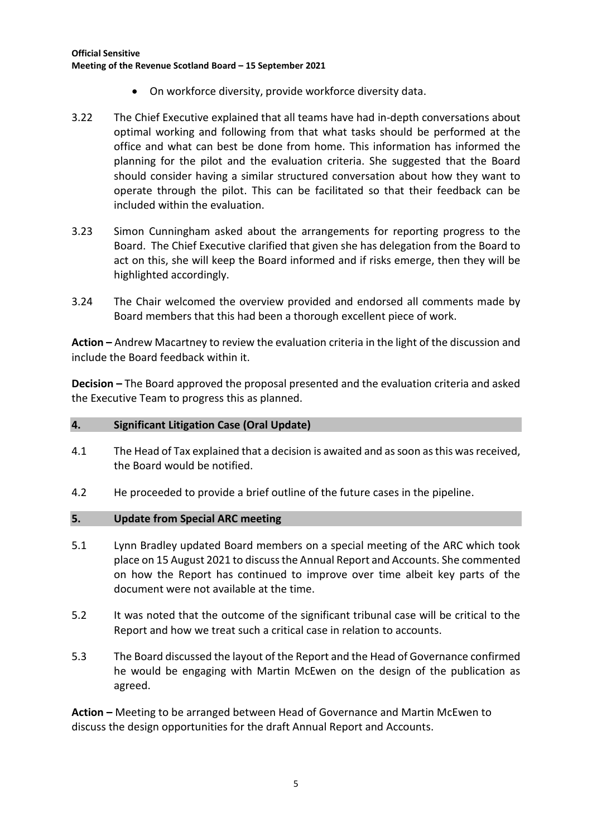- On workforce diversity, provide workforce diversity data.
- 3.22 The Chief Executive explained that all teams have had in-depth conversations about optimal working and following from that what tasks should be performed at the office and what can best be done from home. This information has informed the planning for the pilot and the evaluation criteria. She suggested that the Board should consider having a similar structured conversation about how they want to operate through the pilot. This can be facilitated so that their feedback can be included within the evaluation.
- 3.23 Simon Cunningham asked about the arrangements for reporting progress to the Board. The Chief Executive clarified that given she has delegation from the Board to act on this, she will keep the Board informed and if risks emerge, then they will be highlighted accordingly.
- 3.24 The Chair welcomed the overview provided and endorsed all comments made by Board members that this had been a thorough excellent piece of work.

**Action –** Andrew Macartney to review the evaluation criteria in the light of the discussion and include the Board feedback within it.

**Decision –** The Board approved the proposal presented and the evaluation criteria and asked the Executive Team to progress this as planned.

## **4. Significant Litigation Case (Oral Update)**

- 4.1 The Head of Tax explained that a decision is awaited and as soon as this was received, the Board would be notified.
- 4.2 He proceeded to provide a brief outline of the future cases in the pipeline.

#### **5. Update from Special ARC meeting**

- 5.1 Lynn Bradley updated Board members on a special meeting of the ARC which took place on 15 August 2021 to discuss the Annual Report and Accounts. She commented on how the Report has continued to improve over time albeit key parts of the document were not available at the time.
- 5.2 It was noted that the outcome of the significant tribunal case will be critical to the Report and how we treat such a critical case in relation to accounts.
- 5.3 The Board discussed the layout of the Report and the Head of Governance confirmed he would be engaging with Martin McEwen on the design of the publication as agreed.

**Action –** Meeting to be arranged between Head of Governance and Martin McEwen to discuss the design opportunities for the draft Annual Report and Accounts.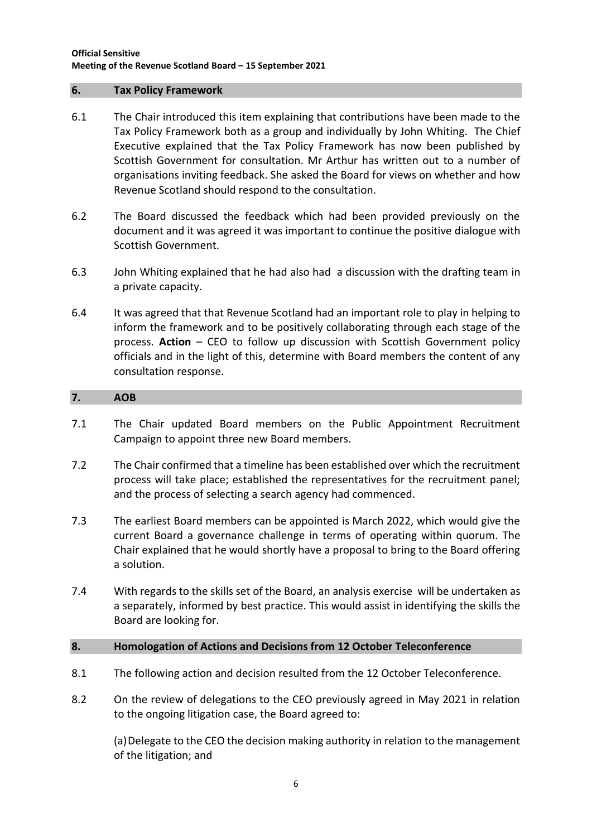#### **6. Tax Policy Framework**

- 6.1 The Chair introduced this item explaining that contributions have been made to the Tax Policy Framework both as a group and individually by John Whiting. The Chief Executive explained that the Tax Policy Framework has now been published by Scottish Government for consultation. Mr Arthur has written out to a number of organisations inviting feedback. She asked the Board for views on whether and how Revenue Scotland should respond to the consultation.
- 6.2 The Board discussed the feedback which had been provided previously on the document and it was agreed it was important to continue the positive dialogue with Scottish Government.
- 6.3 John Whiting explained that he had also had a discussion with the drafting team in a private capacity.
- 6.4 It was agreed that that Revenue Scotland had an important role to play in helping to inform the framework and to be positively collaborating through each stage of the process. **Action** – CEO to follow up discussion with Scottish Government policy officials and in the light of this, determine with Board members the content of any consultation response.

#### **7. AOB**

- 7.1 The Chair updated Board members on the Public Appointment Recruitment Campaign to appoint three new Board members.
- 7.2 The Chair confirmed that a timeline has been established over which the recruitment process will take place; established the representatives for the recruitment panel; and the process of selecting a search agency had commenced.
- 7.3 The earliest Board members can be appointed is March 2022, which would give the current Board a governance challenge in terms of operating within quorum. The Chair explained that he would shortly have a proposal to bring to the Board offering a solution.
- 7.4 With regards to the skills set of the Board, an analysis exercise will be undertaken as a separately, informed by best practice. This would assist in identifying the skills the Board are looking for.

## **8. Homologation of Actions and Decisions from 12 October Teleconference**

- 8.1 The following action and decision resulted from the 12 October Teleconference.
- 8.2 On the review of delegations to the CEO previously agreed in May 2021 in relation to the ongoing litigation case, the Board agreed to:

(a)Delegate to the CEO the decision making authority in relation to the management of the litigation; and